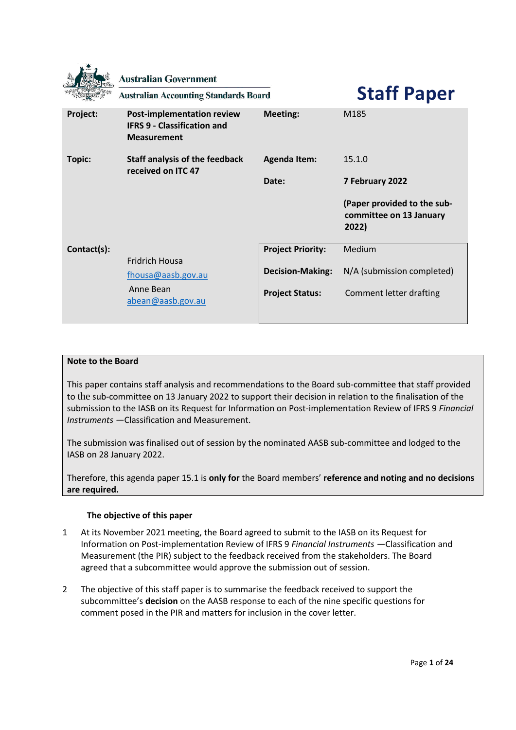|             | <b>Australian Government</b><br><b>Australian Accounting Standards Board</b>           |                          | <b>Staff Paper</b>                                              |
|-------------|----------------------------------------------------------------------------------------|--------------------------|-----------------------------------------------------------------|
| Project:    | Post-implementation review<br><b>IFRS 9 - Classification and</b><br><b>Measurement</b> | <b>Meeting:</b>          | M185                                                            |
| Topic:      | <b>Staff analysis of the feedback</b><br>received on ITC 47                            | <b>Agenda Item:</b>      | 15.1.0                                                          |
|             |                                                                                        | Date:                    | 7 February 2022                                                 |
|             |                                                                                        |                          |                                                                 |
|             |                                                                                        |                          | (Paper provided to the sub-<br>committee on 13 January<br>2022) |
| Contact(s): |                                                                                        | <b>Project Priority:</b> | Medium                                                          |
|             | <b>Fridrich Housa</b><br>fhousa@aasb.gov.au                                            | <b>Decision-Making:</b>  | N/A (submission completed)                                      |

## **Note to the Board**

This paper contains staff analysis and recommendations to the Board sub-committee that staff provided to the sub-committee on 13 January 2022 to support their decision in relation to the finalisation of the submission to the IASB on its Request for Information on Post-implementation Review of IFRS 9 *Financial Instruments —*Classification and Measurement.

The submission was finalised out of session by the nominated AASB sub-committee and lodged to the IASB on 28 January 2022.

Therefore, this agenda paper 15.1 is **only for** the Board members' **reference and noting and no decisions are required.**

## **The objective of this paper**

- 1 At its November 2021 meeting, the Board agreed to submit to the IASB on its Request for Information on Post-implementation Review of IFRS 9 *Financial Instruments —*Classification and Measurement (the PIR) subject to the feedback received from the stakeholders. The Board agreed that a subcommittee would approve the submission out of session.
- 2 The objective of this staff paper is to summarise the feedback received to support the subcommittee's **decision** on the AASB response to each of the nine specific questions for comment posed in the PIR and matters for inclusion in the cover letter.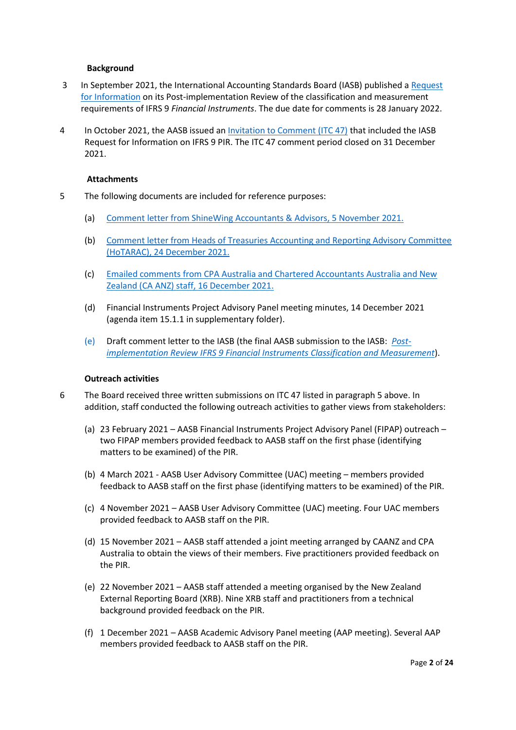### **Background**

- 3 In September 2021, the International Accounting Standards Board (IASB) published [a Request](https://www.ifrs.org/projects/work-plan/post-implementation-review-of-ifrs-9-classification-and-measurement/)  [for Information](https://www.ifrs.org/projects/work-plan/post-implementation-review-of-ifrs-9-classification-and-measurement/) on its Post-implementation Review of the classification and measurement requirements of IFRS 9 *Financial Instruments*. The due date for comments is 28 January 2022.
- 4 In October 2021, the AASB issued an [Invitation to Comment \(ITC 47\)](https://www.aasb.gov.au/admin/file/content105/c9/ITC47_10-21.pdf) that included the IASB Request for Information on IFRS 9 PIR. The ITC 47 comment period closed on 31 December 2021.

#### **Attachments**

- 5 The following documents are included for reference purposes:
	- (a) Comment letter from ShineWing Accountants & Advisors, [5 November 2021.](https://www.aasb.gov.au/admin/file/content106/c2/Memorandum_Post%20implementation%20review%20of%20IFRS9.pdf)
	- (b) [Comment letter from Heads of Treasuries Accounting and Reporting Advisory Committee](https://www.aasb.gov.au/admin/file/content106/c2/ITC47-Sub1-HoTARAC.pdf)  [\(HoTARAC\), 24 December 2021.](https://www.aasb.gov.au/admin/file/content106/c2/ITC47-Sub1-HoTARAC.pdf)
	- (c) Emailed comments [from CPA Australia and Chartered Accountants Australia and New](https://www.aasb.gov.au/admin/file/content106/c2/ITC47_CAANZ_CPA_staff_submission.pdf)  [Zealand \(CA ANZ\) staff, 16 December 2021.](https://www.aasb.gov.au/admin/file/content106/c2/ITC47_CAANZ_CPA_staff_submission.pdf)
	- (d) Financial Instruments Project Advisory Panel meeting minutes, 14 December 2021 (agenda item 15.1.1 in supplementary folder).
	- (e) Draft comment letter to the IASB (the final AASB submission to the IASB: *[Post](http://eifrs.ifrs.org/eifrs/comment_letters/598/598_29521_FridrichHousaAustralianAccountingStandardsBoard_0_AASBLetterToIASB__IFRS9CM_PIR_28Jan2022.pdf)implementation Review IFRS 9 Financial Instruments [Classification and Measurement](http://eifrs.ifrs.org/eifrs/comment_letters/598/598_29521_FridrichHousaAustralianAccountingStandardsBoard_0_AASBLetterToIASB__IFRS9CM_PIR_28Jan2022.pdf)*).

### **Outreach activities**

- 6 The Board received three written submissions on ITC 47 listed in paragraph 5 above. In addition, staff conducted the following outreach activities to gather views from stakeholders:
	- (a) 23 February 2021 AASB Financial Instruments Project Advisory Panel (FIPAP) outreach two FIPAP members provided feedback to AASB staff on the first phase (identifying matters to be examined) of the PIR.
	- (b) 4 March 2021 AASB User Advisory Committee (UAC) meeting members provided feedback to AASB staff on the first phase (identifying matters to be examined) of the PIR.
	- (c) 4 November 2021 AASB User Advisory Committee (UAC) meeting. Four UAC members provided feedback to AASB staff on the PIR.
	- (d) 15 November 2021 AASB staff attended a joint meeting arranged by CAANZ and CPA Australia to obtain the views of their members. Five practitioners provided feedback on the PIR.
	- (e) 22 November 2021 AASB staff attended a meeting organised by the New Zealand External Reporting Board (XRB). Nine XRB staff and practitioners from a technical background provided feedback on the PIR.
	- (f) 1 December 2021 AASB Academic Advisory Panel meeting (AAP meeting). Several AAP members provided feedback to AASB staff on the PIR.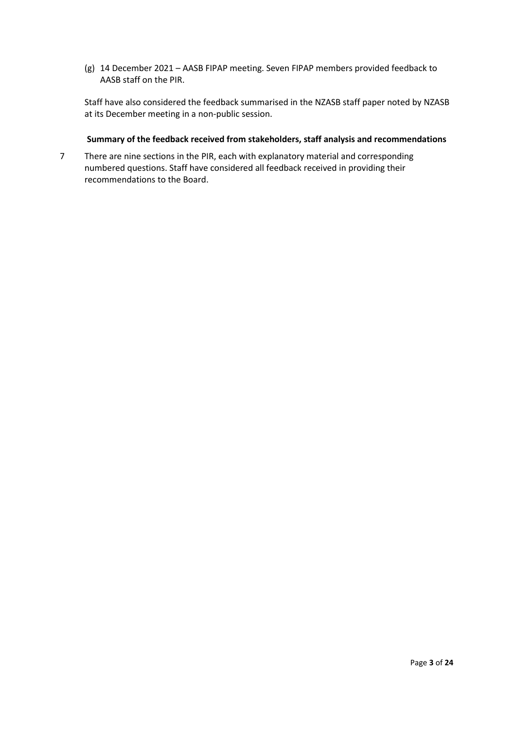(g) 14 December 2021 – AASB FIPAP meeting. Seven FIPAP members provided feedback to AASB staff on the PIR.

Staff have also considered the feedback summarised in the NZASB staff paper noted by NZASB at its December meeting in a non-public session.

### **Summary of the feedback received from stakeholders, staff analysis and recommendations**

7 There are nine sections in the PIR, each with explanatory material and corresponding numbered questions. Staff have considered all feedback received in providing their recommendations to the Board.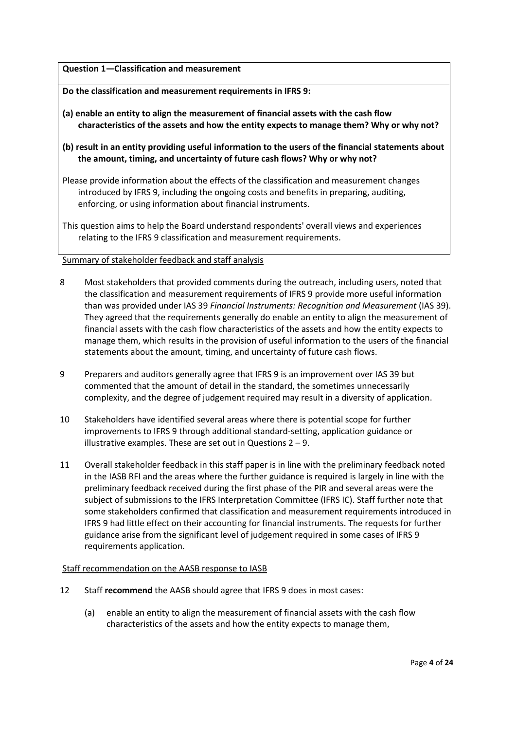### **Question 1—Classification and measurement**

**Do the classification and measurement requirements in IFRS 9:**

- **(a) enable an entity to align the measurement of financial assets with the cash flow characteristics of the assets and how the entity expects to manage them? Why or why not?**
- **(b) result in an entity providing useful information to the users of the financial statements about the amount, timing, and uncertainty of future cash flows? Why or why not?**
- Please provide information about the effects of the classification and measurement changes introduced by IFRS 9, including the ongoing costs and benefits in preparing, auditing, enforcing, or using information about financial instruments.
- This question aims to help the Board understand respondents' overall views and experiences relating to the IFRS 9 classification and measurement requirements.

### Summary of stakeholder feedback and staff analysis

- 8 Most stakeholders that provided comments during the outreach, including users, noted that the classification and measurement requirements of IFRS 9 provide more useful information than was provided under IAS 39 *Financial Instruments: Recognition and Measurement* (IAS 39). They agreed that the requirements generally do enable an entity to align the measurement of financial assets with the cash flow characteristics of the assets and how the entity expects to manage them, which results in the provision of useful information to the users of the financial statements about the amount, timing, and uncertainty of future cash flows.
- 9 Preparers and auditors generally agree that IFRS 9 is an improvement over IAS 39 but commented that the amount of detail in the standard, the sometimes unnecessarily complexity, and the degree of judgement required may result in a diversity of application.
- 10 Stakeholders have identified several areas where there is potential scope for further improvements to IFRS 9 through additional standard-setting, application guidance or illustrative examples. These are set out in Questions 2 – 9.
- 11 Overall stakeholder feedback in this staff paper is in line with the preliminary feedback noted in the IASB RFI and the areas where the further guidance is required is largely in line with the preliminary feedback received during the first phase of the PIR and several areas were the subject of submissions to the IFRS Interpretation Committee (IFRS IC). Staff further note that some stakeholders confirmed that classification and measurement requirements introduced in IFRS 9 had little effect on their accounting for financial instruments. The requests for further guidance arise from the significant level of judgement required in some cases of IFRS 9 requirements application.

## Staff recommendation on the AASB response to IASB

- 12 Staff **recommend** the AASB should agree that IFRS 9 does in most cases:
	- (a) enable an entity to align the measurement of financial assets with the cash flow characteristics of the assets and how the entity expects to manage them,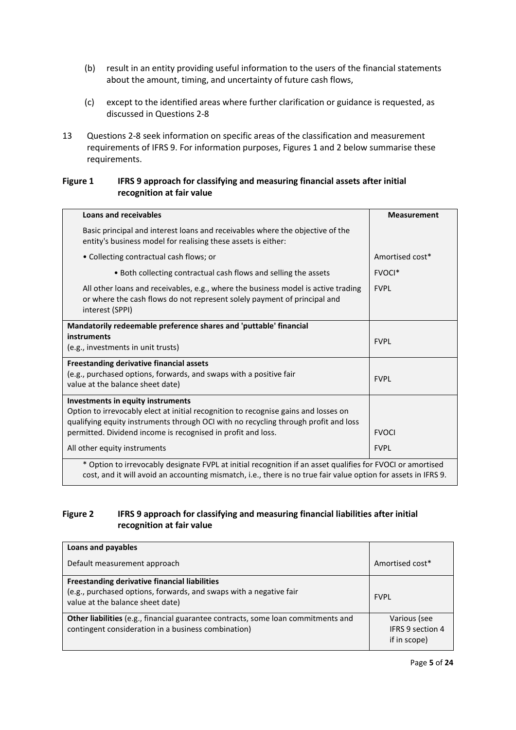- (b) result in an entity providing useful information to the users of the financial statements about the amount, timing, and uncertainty of future cash flows,
- (c) except to the identified areas where further clarification or guidance is requested, as discussed in Questions 2-8
- 13 Questions 2-8 seek information on specific areas of the classification and measurement requirements of IFRS 9. For information purposes, Figures 1 and 2 below summarise these requirements.

## **Figure 1 IFRS 9 approach for classifying and measuring financial assets after initial recognition at fair value**

| Loans and receivables                                                                                                                                                                                                                                                           | <b>Measurement</b> |  |
|---------------------------------------------------------------------------------------------------------------------------------------------------------------------------------------------------------------------------------------------------------------------------------|--------------------|--|
| Basic principal and interest loans and receivables where the objective of the<br>entity's business model for realising these assets is either:                                                                                                                                  |                    |  |
| • Collecting contractual cash flows; or                                                                                                                                                                                                                                         | Amortised cost*    |  |
| • Both collecting contractual cash flows and selling the assets                                                                                                                                                                                                                 | FVOCI <sup>*</sup> |  |
| All other loans and receivables, e.g., where the business model is active trading<br>or where the cash flows do not represent solely payment of principal and<br>interest (SPPI)                                                                                                | <b>FVPL</b>        |  |
| Mandatorily redeemable preference shares and 'puttable' financial<br>instruments<br>(e.g., investments in unit trusts)                                                                                                                                                          | <b>FVPL</b>        |  |
| Freestanding derivative financial assets<br>(e.g., purchased options, forwards, and swaps with a positive fair<br>value at the balance sheet date)                                                                                                                              | <b>FVPL</b>        |  |
| Investments in equity instruments<br>Option to irrevocably elect at initial recognition to recognise gains and losses on<br>qualifying equity instruments through OCI with no recycling through profit and loss<br>permitted. Dividend income is recognised in profit and loss. | <b>FVOCI</b>       |  |
| All other equity instruments                                                                                                                                                                                                                                                    | <b>FVPL</b>        |  |
| * Option to irrevocably designate FVPL at initial recognition if an asset qualifies for FVOCI or amortised<br>cost, and it will avoid an accounting mismatch, i.e., there is no true fair value option for assets in IFRS 9.                                                    |                    |  |

# **Figure 2 IFRS 9 approach for classifying and measuring financial liabilities after initial recognition at fair value**

| Loans and payables                                                                                     |                  |
|--------------------------------------------------------------------------------------------------------|------------------|
| Default measurement approach                                                                           | Amortised cost*  |
| Freestanding derivative financial liabilities                                                          |                  |
| (e.g., purchased options, forwards, and swaps with a negative fair<br>value at the balance sheet date) | <b>FVPI</b>      |
| <b>Other liabilities</b> (e.g., financial guarantee contracts, some loan commitments and               | Various (see     |
| contingent consideration in a business combination)                                                    | IFRS 9 section 4 |
|                                                                                                        | if in scope)     |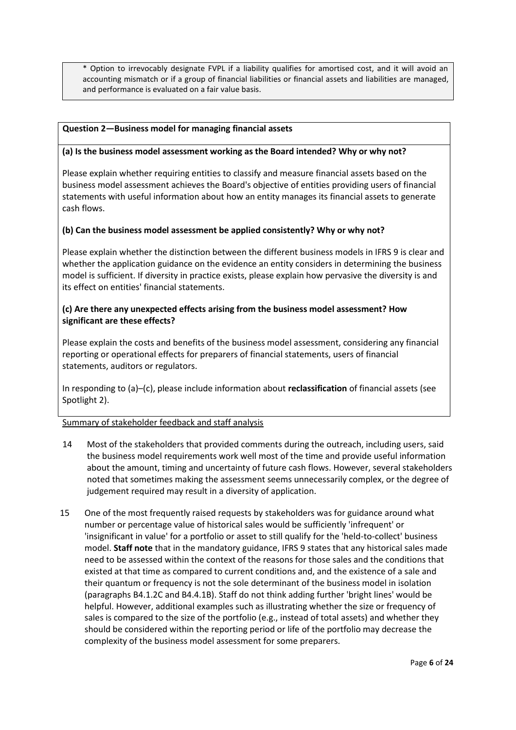\* Option to irrevocably designate FVPL if a liability qualifies for amortised cost, and it will avoid an accounting mismatch or if a group of financial liabilities or financial assets and liabilities are managed, and performance is evaluated on a fair value basis.

## **Question 2—Business model for managing financial assets**

## **(a) Is the business model assessment working as the Board intended? Why or why not?**

Please explain whether requiring entities to classify and measure financial assets based on the business model assessment achieves the Board's objective of entities providing users of financial statements with useful information about how an entity manages its financial assets to generate cash flows.

## **(b) Can the business model assessment be applied consistently? Why or why not?**

Please explain whether the distinction between the different business models in IFRS 9 is clear and whether the application guidance on the evidence an entity considers in determining the business model is sufficient. If diversity in practice exists, please explain how pervasive the diversity is and its effect on entities' financial statements.

## **(c) Are there any unexpected effects arising from the business model assessment? How significant are these effects?**

Please explain the costs and benefits of the business model assessment, considering any financial reporting or operational effects for preparers of financial statements, users of financial statements, auditors or regulators.

In responding to (a)–(c), please include information about **reclassification** of financial assets (see Spotlight 2).

- 14 Most of the stakeholders that provided comments during the outreach, including users, said the business model requirements work well most of the time and provide useful information about the amount, timing and uncertainty of future cash flows. However, several stakeholders noted that sometimes making the assessment seems unnecessarily complex, or the degree of judgement required may result in a diversity of application.
- 15 One of the most frequently raised requests by stakeholders was for guidance around what number or percentage value of historical sales would be sufficiently 'infrequent' or 'insignificant in value' for a portfolio or asset to still qualify for the 'held-to-collect' business model. **Staff note** that in the mandatory guidance, IFRS 9 states that any historical sales made need to be assessed within the context of the reasons for those sales and the conditions that existed at that time as compared to current conditions and, and the existence of a sale and their quantum or frequency is not the sole determinant of the business model in isolation (paragraphs B4.1.2C and B4.4.1B). Staff do not think adding further 'bright lines' would be helpful. However, additional examples such as illustrating whether the size or frequency of sales is compared to the size of the portfolio (e.g., instead of total assets) and whether they should be considered within the reporting period or life of the portfolio may decrease the complexity of the business model assessment for some preparers.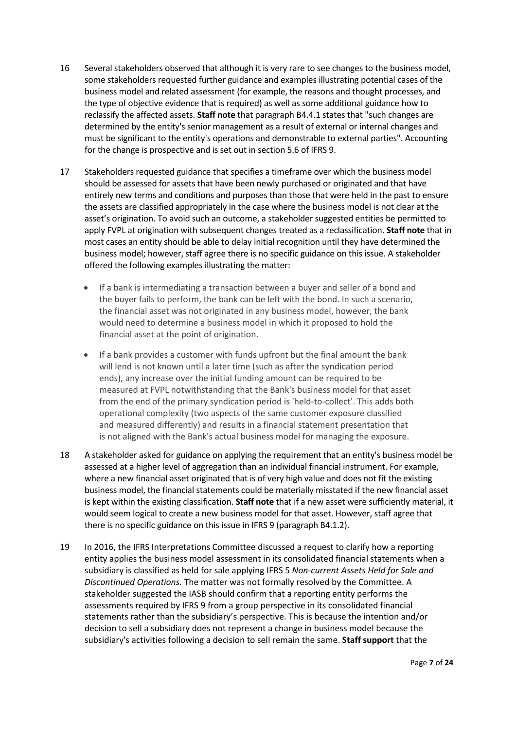- 16 Several stakeholders observed that although it is very rare to see changes to the business model, some stakeholders requested further guidance and examples illustrating potential cases of the business model and related assessment (for example, the reasons and thought processes, and the type of objective evidence that is required) as well as some additional guidance how to reclassify the affected assets. **Staff note** that paragraph B4.4.1 states that "such changes are determined by the entity's senior management as a result of external or internal changes and must be significant to the entity's operations and demonstrable to external parties". Accounting for the change is prospective and is set out in section 5.6 of IFRS 9.
- 17 Stakeholders requested guidance that specifies a timeframe over which the business model should be assessed for assets that have been newly purchased or originated and that have entirely new terms and conditions and purposes than those that were held in the past to ensure the assets are classified appropriately in the case where the business model is not clear at the asset's origination. To avoid such an outcome, a stakeholder suggested entities be permitted to apply FVPL at origination with subsequent changes treated as a reclassification. **Staff note** that in most cases an entity should be able to delay initial recognition until they have determined the business model; however, staff agree there is no specific guidance on this issue. A stakeholder offered the following examples illustrating the matter:
	- If a bank is intermediating a transaction between a buyer and seller of a bond and the buyer fails to perform, the bank can be left with the bond. In such a scenario, the financial asset was not originated in any business model, however, the bank would need to determine a business model in which it proposed to hold the financial asset at the point of origination.
	- If a bank provides a customer with funds upfront but the final amount the bank will lend is not known until a later time (such as after the syndication period ends), any increase over the initial funding amount can be required to be measured at FVPL notwithstanding that the Bank's business model for that asset from the end of the primary syndication period is 'held-to-collect'. This adds both operational complexity (two aspects of the same customer exposure classified and measured differently) and results in a financial statement presentation that is not aligned with the Bank's actual business model for managing the exposure.
- 18 A stakeholder asked for guidance on applying the requirement that an entity's business model be assessed at a higher level of aggregation than an individual financial instrument. For example, where a new financial asset originated that is of very high value and does not fit the existing business model, the financial statements could be materially misstated if the new financial asset is kept within the existing classification. **Staff note** that if a new asset were sufficiently material, it would seem logical to create a new business model for that asset. However, staff agree that there is no specific guidance on this issue in IFRS 9 (paragraph B4.1.2).
- 19 In 2016, the IFRS Interpretations Committee discussed a request to clarify how a reporting entity applies the business model assessment in its consolidated financial statements when a subsidiary is classified as held for sale applying IFRS 5 *Non-current Assets Held for Sale and Discontinued Operations.* The matter was not formally resolved by the Committee. A stakeholder suggested the IASB should confirm that a reporting entity performs the assessments required by IFRS 9 from a group perspective in its consolidated financial statements rather than the subsidiary's perspective. This is because the intention and/or decision to sell a subsidiary does not represent a change in business model because the subsidiary's activities following a decision to sell remain the same. **Staff support** that the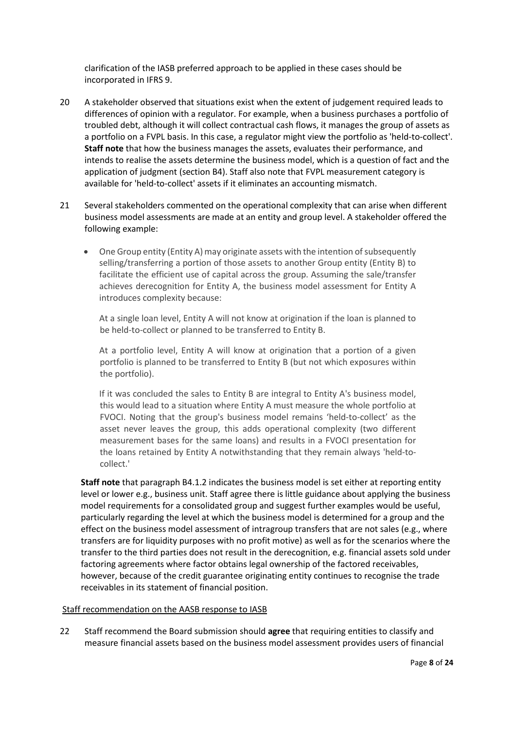clarification of the IASB preferred approach to be applied in these cases should be incorporated in IFRS 9.

- 20 A stakeholder observed that situations exist when the extent of judgement required leads to differences of opinion with a regulator. For example, when a business purchases a portfolio of troubled debt, although it will collect contractual cash flows, it manages the group of assets as a portfolio on a FVPL basis. In this case, a regulator might view the portfolio as 'held-to-collect'. **Staff note** that how the business manages the assets, evaluates their performance, and intends to realise the assets determine the business model, which is a question of fact and the application of judgment (section B4). Staff also note that FVPL measurement category is available for 'held-to-collect' assets if it eliminates an accounting mismatch.
- 21 Several stakeholders commented on the operational complexity that can arise when different business model assessments are made at an entity and group level. A stakeholder offered the following example:
	- One Group entity (Entity A) may originate assets with the intention of subsequently selling/transferring a portion of those assets to another Group entity (Entity B) to facilitate the efficient use of capital across the group. Assuming the sale/transfer achieves derecognition for Entity A, the business model assessment for Entity A introduces complexity because:

At a single loan level, Entity A will not know at origination if the loan is planned to be held-to-collect or planned to be transferred to Entity B.

At a portfolio level, Entity A will know at origination that a portion of a given portfolio is planned to be transferred to Entity B (but not which exposures within the portfolio).

If it was concluded the sales to Entity B are integral to Entity A's business model, this would lead to a situation where Entity A must measure the whole portfolio at FVOCI. Noting that the group's business model remains 'held-to-collect' as the asset never leaves the group, this adds operational complexity (two different measurement bases for the same loans) and results in a FVOCI presentation for the loans retained by Entity A notwithstanding that they remain always 'held-tocollect.'

**Staff note** that paragraph B4.1.2 indicates the business model is set either at reporting entity level or lower e.g., business unit. Staff agree there is little guidance about applying the business model requirements for a consolidated group and suggest further examples would be useful, particularly regarding the level at which the business model is determined for a group and the effect on the business model assessment of intragroup transfers that are not sales (e.g., where transfers are for liquidity purposes with no profit motive) as well as for the scenarios where the transfer to the third parties does not result in the derecognition, e.g. financial assets sold under factoring agreements where factor obtains legal ownership of the factored receivables, however, because of the credit guarantee originating entity continues to recognise the trade receivables in its statement of financial position.

## Staff recommendation on the AASB response to IASB

22 Staff recommend the Board submission should **agree** that requiring entities to classify and measure financial assets based on the business model assessment provides users of financial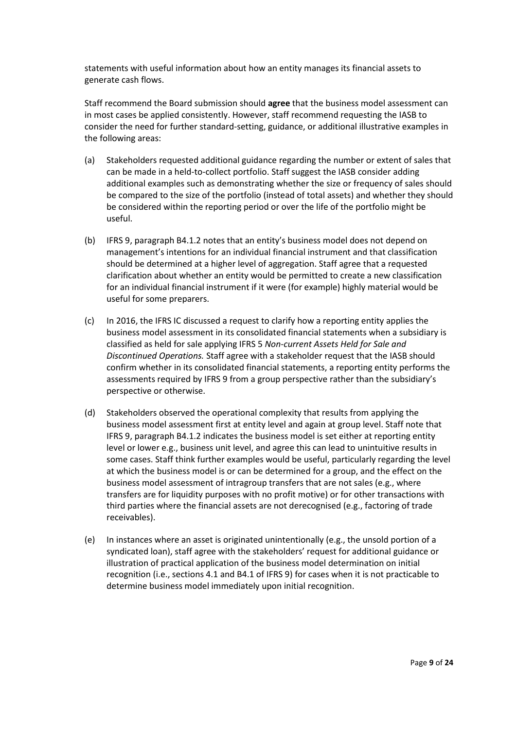statements with useful information about how an entity manages its financial assets to generate cash flows.

Staff recommend the Board submission should **agree** that the business model assessment can in most cases be applied consistently. However, staff recommend requesting the IASB to consider the need for further standard-setting, guidance, or additional illustrative examples in the following areas:

- (a) Stakeholders requested additional guidance regarding the number or extent of sales that can be made in a held-to-collect portfolio. Staff suggest the IASB consider adding additional examples such as demonstrating whether the size or frequency of sales should be compared to the size of the portfolio (instead of total assets) and whether they should be considered within the reporting period or over the life of the portfolio might be useful.
- (b) IFRS 9, paragraph B4.1.2 notes that an entity's business model does not depend on management's intentions for an individual financial instrument and that classification should be determined at a higher level of aggregation. Staff agree that a requested clarification about whether an entity would be permitted to create a new classification for an individual financial instrument if it were (for example) highly material would be useful for some preparers.
- (c) In 2016, the IFRS IC discussed a request to clarify how a reporting entity applies the business model assessment in its consolidated financial statements when a subsidiary is classified as held for sale applying IFRS 5 *Non-current Assets Held for Sale and Discontinued Operations.* Staff agree with a stakeholder request that the IASB should confirm whether in its consolidated financial statements, a reporting entity performs the assessments required by IFRS 9 from a group perspective rather than the subsidiary's perspective or otherwise.
- (d) Stakeholders observed the operational complexity that results from applying the business model assessment first at entity level and again at group level. Staff note that IFRS 9, paragraph B4.1.2 indicates the business model is set either at reporting entity level or lower e.g., business unit level, and agree this can lead to unintuitive results in some cases. Staff think further examples would be useful, particularly regarding the level at which the business model is or can be determined for a group, and the effect on the business model assessment of intragroup transfers that are not sales (e.g., where transfers are for liquidity purposes with no profit motive) or for other transactions with third parties where the financial assets are not derecognised (e.g., factoring of trade receivables).
- (e) In instances where an asset is originated unintentionally (e.g., the unsold portion of a syndicated loan), staff agree with the stakeholders' request for additional guidance or illustration of practical application of the business model determination on initial recognition (i.e., sections 4.1 and B4.1 of IFRS 9) for cases when it is not practicable to determine business model immediately upon initial recognition.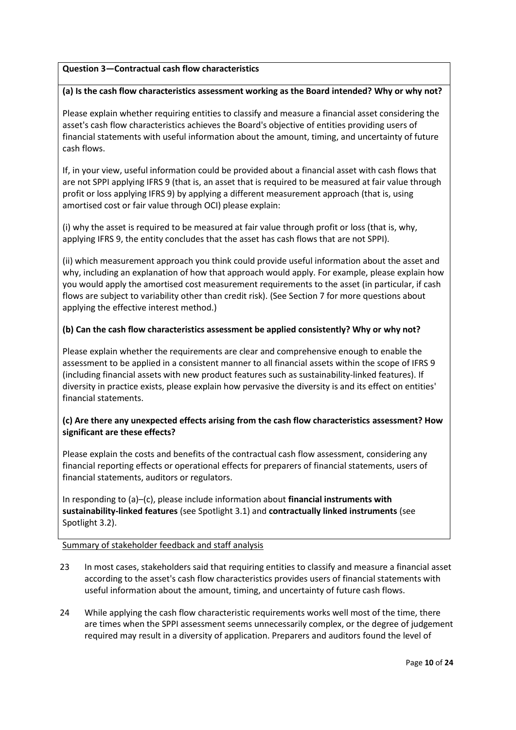## **Question 3—Contractual cash flow characteristics**

## **(a) Is the cash flow characteristics assessment working as the Board intended? Why or why not?**

Please explain whether requiring entities to classify and measure a financial asset considering the asset's cash flow characteristics achieves the Board's objective of entities providing users of financial statements with useful information about the amount, timing, and uncertainty of future cash flows.

If, in your view, useful information could be provided about a financial asset with cash flows that are not SPPI applying IFRS 9 (that is, an asset that is required to be measured at fair value through profit or loss applying IFRS 9) by applying a different measurement approach (that is, using amortised cost or fair value through OCI) please explain:

(i) why the asset is required to be measured at fair value through profit or loss (that is, why, applying IFRS 9, the entity concludes that the asset has cash flows that are not SPPI).

(ii) which measurement approach you think could provide useful information about the asset and why, including an explanation of how that approach would apply. For example, please explain how you would apply the amortised cost measurement requirements to the asset (in particular, if cash flows are subject to variability other than credit risk). (See Section 7 for more questions about applying the effective interest method.)

## **(b) Can the cash flow characteristics assessment be applied consistently? Why or why not?**

Please explain whether the requirements are clear and comprehensive enough to enable the assessment to be applied in a consistent manner to all financial assets within the scope of IFRS 9 (including financial assets with new product features such as sustainability-linked features). If diversity in practice exists, please explain how pervasive the diversity is and its effect on entities' financial statements.

# **(c) Are there any unexpected effects arising from the cash flow characteristics assessment? How significant are these effects?**

Please explain the costs and benefits of the contractual cash flow assessment, considering any financial reporting effects or operational effects for preparers of financial statements, users of financial statements, auditors or regulators.

In responding to (a)–(c), please include information about **financial instruments with sustainability-linked features** (see Spotlight 3.1) and **contractually linked instruments** (see Spotlight 3.2).

- 23 In most cases, stakeholders said that requiring entities to classify and measure a financial asset according to the asset's cash flow characteristics provides users of financial statements with useful information about the amount, timing, and uncertainty of future cash flows.
- 24 While applying the cash flow characteristic requirements works well most of the time, there are times when the SPPI assessment seems unnecessarily complex, or the degree of judgement required may result in a diversity of application. Preparers and auditors found the level of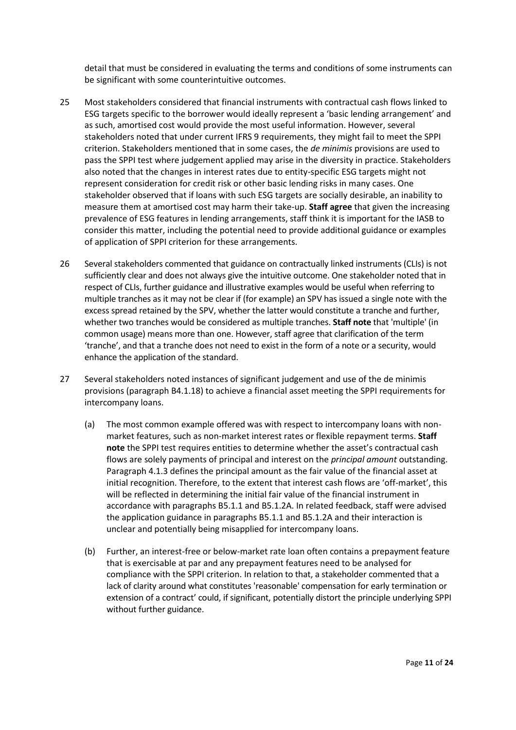detail that must be considered in evaluating the terms and conditions of some instruments can be significant with some counterintuitive outcomes.

- 25 Most stakeholders considered that financial instruments with contractual cash flows linked to ESG targets specific to the borrower would ideally represent a 'basic lending arrangement' and as such, amortised cost would provide the most useful information. However, several stakeholders noted that under current IFRS 9 requirements, they might fail to meet the SPPI criterion. Stakeholders mentioned that in some cases, the *de minimis* provisions are used to pass the SPPI test where judgement applied may arise in the diversity in practice. Stakeholders also noted that the changes in interest rates due to entity-specific ESG targets might not represent consideration for credit risk or other basic lending risks in many cases. One stakeholder observed that if loans with such ESG targets are socially desirable, an inability to measure them at amortised cost may harm their take-up. **Staff agree** that given the increasing prevalence of ESG features in lending arrangements, staff think it is important for the IASB to consider this matter, including the potential need to provide additional guidance or examples of application of SPPI criterion for these arrangements.
- 26 Several stakeholders commented that guidance on contractually linked instruments (CLIs) is not sufficiently clear and does not always give the intuitive outcome. One stakeholder noted that in respect of CLIs, further guidance and illustrative examples would be useful when referring to multiple tranches as it may not be clear if (for example) an SPV has issued a single note with the excess spread retained by the SPV, whether the latter would constitute a tranche and further, whether two tranches would be considered as multiple tranches. **Staff note** that 'multiple' (in common usage) means more than one. However, staff agree that clarification of the term 'tranche', and that a tranche does not need to exist in the form of a note or a security, would enhance the application of the standard.
- 27 Several stakeholders noted instances of significant judgement and use of the de minimis provisions (paragraph B4.1.18) to achieve a financial asset meeting the SPPI requirements for intercompany loans.
	- (a) The most common example offered was with respect to intercompany loans with nonmarket features, such as non-market interest rates or flexible repayment terms. **Staff note** the SPPI test requires entities to determine whether the asset's contractual cash flows are solely payments of principal and interest on the *principal amount* outstanding. Paragraph 4.1.3 defines the principal amount as the fair value of the financial asset at initial recognition. Therefore, to the extent that interest cash flows are 'off-market', this will be reflected in determining the initial fair value of the financial instrument in accordance with paragraphs B5.1.1 and B5.1.2A. In related feedback, staff were advised the application guidance in paragraphs B5.1.1 and B5.1.2A and their interaction is unclear and potentially being misapplied for intercompany loans.
	- (b) Further, an interest-free or below-market rate loan often contains a prepayment feature that is exercisable at par and any prepayment features need to be analysed for compliance with the SPPI criterion. In relation to that, a stakeholder commented that a lack of clarity around what constitutes 'reasonable' compensation for early termination or extension of a contract' could, if significant, potentially distort the principle underlying SPPI without further guidance.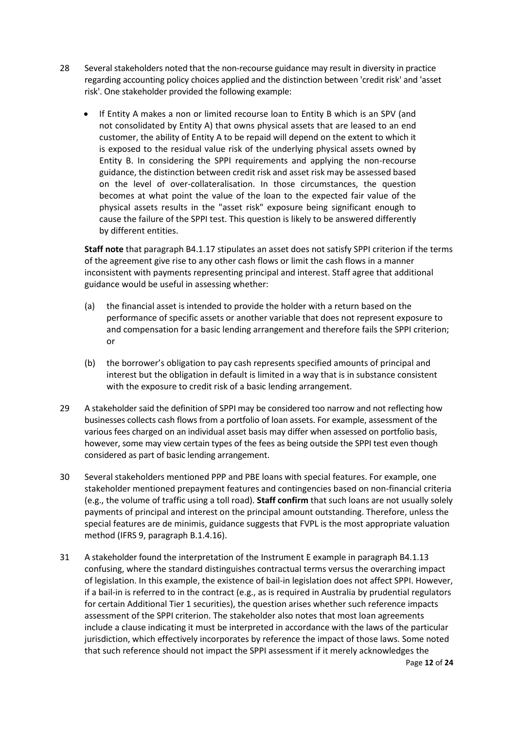- 28 Several stakeholders noted that the non-recourse guidance may result in diversity in practice regarding accounting policy choices applied and the distinction between 'credit risk' and 'asset risk'. One stakeholder provided the following example:
	- If Entity A makes a non or limited recourse loan to Entity B which is an SPV (and not consolidated by Entity A) that owns physical assets that are leased to an end customer, the ability of Entity A to be repaid will depend on the extent to which it is exposed to the residual value risk of the underlying physical assets owned by Entity B. In considering the SPPI requirements and applying the non-recourse guidance, the distinction between credit risk and asset risk may be assessed based on the level of over-collateralisation. In those circumstances, the question becomes at what point the value of the loan to the expected fair value of the physical assets results in the "asset risk" exposure being significant enough to cause the failure of the SPPI test. This question is likely to be answered differently by different entities.

**Staff note** that paragraph B4.1.17 stipulates an asset does not satisfy SPPI criterion if the terms of the agreement give rise to any other cash flows or limit the cash flows in a manner inconsistent with payments representing principal and interest. Staff agree that additional guidance would be useful in assessing whether:

- (a) the financial asset is intended to provide the holder with a return based on the performance of specific assets or another variable that does not represent exposure to and compensation for a basic lending arrangement and therefore fails the SPPI criterion; or
- (b) the borrower's obligation to pay cash represents specified amounts of principal and interest but the obligation in default is limited in a way that is in substance consistent with the exposure to credit risk of a basic lending arrangement.
- 29 A stakeholder said the definition of SPPI may be considered too narrow and not reflecting how businesses collects cash flows from a portfolio of loan assets. For example, assessment of the various fees charged on an individual asset basis may differ when assessed on portfolio basis, however, some may view certain types of the fees as being outside the SPPI test even though considered as part of basic lending arrangement.
- 30 Several stakeholders mentioned PPP and PBE loans with special features. For example, one stakeholder mentioned prepayment features and contingencies based on non-financial criteria (e.g., the volume of traffic using a toll road). **Staff confirm** that such loans are not usually solely payments of principal and interest on the principal amount outstanding. Therefore, unless the special features are de minimis, guidance suggests that FVPL is the most appropriate valuation method (IFRS 9, paragraph B.1.4.16).
- 31 A stakeholder found the interpretation of the Instrument E example in paragraph B4.1.13 confusing, where the standard distinguishes contractual terms versus the overarching impact of legislation. In this example, the existence of bail-in legislation does not affect SPPI. However, if a bail-in is referred to in the contract (e.g., as is required in Australia by prudential regulators for certain Additional Tier 1 securities), the question arises whether such reference impacts assessment of the SPPI criterion. The stakeholder also notes that most loan agreements include a clause indicating it must be interpreted in accordance with the laws of the particular jurisdiction, which effectively incorporates by reference the impact of those laws. Some noted that such reference should not impact the SPPI assessment if it merely acknowledges the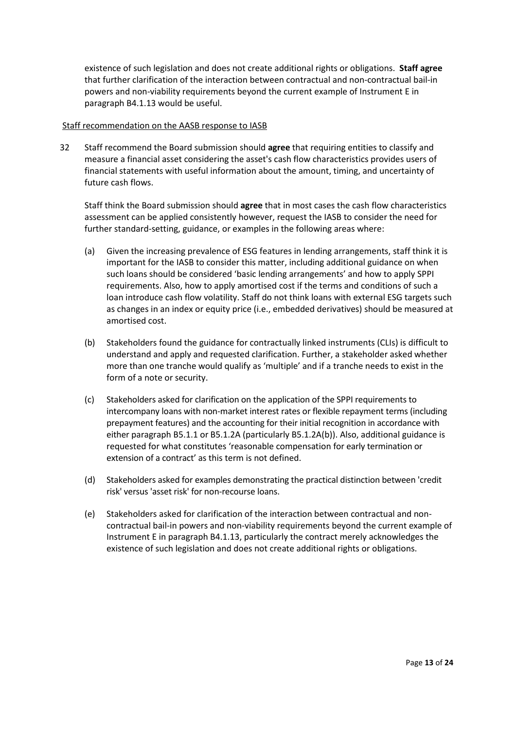existence of such legislation and does not create additional rights or obligations. **Staff agree** that further clarification of the interaction between contractual and non-contractual bail-in powers and non-viability requirements beyond the current example of Instrument E in paragraph B4.1.13 would be useful.

### Staff recommendation on the AASB response to IASB

32 Staff recommend the Board submission should **agree** that requiring entities to classify and measure a financial asset considering the asset's cash flow characteristics provides users of financial statements with useful information about the amount, timing, and uncertainty of future cash flows.

Staff think the Board submission should **agree** that in most cases the cash flow characteristics assessment can be applied consistently however, request the IASB to consider the need for further standard-setting, guidance, or examples in the following areas where:

- (a) Given the increasing prevalence of ESG features in lending arrangements, staff think it is important for the IASB to consider this matter, including additional guidance on when such loans should be considered 'basic lending arrangements' and how to apply SPPI requirements. Also, how to apply amortised cost if the terms and conditions of such a loan introduce cash flow volatility. Staff do not think loans with external ESG targets such as changes in an index or equity price (i.e., embedded derivatives) should be measured at amortised cost.
- (b) Stakeholders found the guidance for contractually linked instruments (CLIs) is difficult to understand and apply and requested clarification. Further, a stakeholder asked whether more than one tranche would qualify as 'multiple' and if a tranche needs to exist in the form of a note or security.
- (c) Stakeholders asked for clarification on the application of the SPPI requirements to intercompany loans with non-market interest rates or flexible repayment terms (including prepayment features) and the accounting for their initial recognition in accordance with either paragraph B5.1.1 or B5.1.2A (particularly B5.1.2A(b)). Also, additional guidance is requested for what constitutes 'reasonable compensation for early termination or extension of a contract' as this term is not defined.
- (d) Stakeholders asked for examples demonstrating the practical distinction between 'credit risk' versus 'asset risk' for non-recourse loans.
- (e) Stakeholders asked for clarification of the interaction between contractual and noncontractual bail-in powers and non-viability requirements beyond the current example of Instrument E in paragraph B4.1.13, particularly the contract merely acknowledges the existence of such legislation and does not create additional rights or obligations.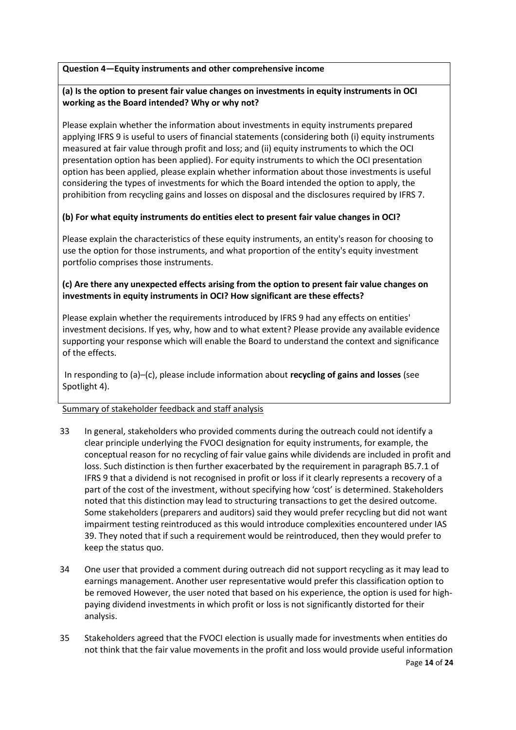## **Question 4—Equity instruments and other comprehensive income**

# **(a) Is the option to present fair value changes on investments in equity instruments in OCI working as the Board intended? Why or why not?**

Please explain whether the information about investments in equity instruments prepared applying IFRS 9 is useful to users of financial statements (considering both (i) equity instruments measured at fair value through profit and loss; and (ii) equity instruments to which the OCI presentation option has been applied). For equity instruments to which the OCI presentation option has been applied, please explain whether information about those investments is useful considering the types of investments for which the Board intended the option to apply, the prohibition from recycling gains and losses on disposal and the disclosures required by IFRS 7.

# **(b) For what equity instruments do entities elect to present fair value changes in OCI?**

Please explain the characteristics of these equity instruments, an entity's reason for choosing to use the option for those instruments, and what proportion of the entity's equity investment portfolio comprises those instruments.

# **(c) Are there any unexpected effects arising from the option to present fair value changes on investments in equity instruments in OCI? How significant are these effects?**

Please explain whether the requirements introduced by IFRS 9 had any effects on entities' investment decisions. If yes, why, how and to what extent? Please provide any available evidence supporting your response which will enable the Board to understand the context and significance of the effects.

In responding to (a)–(c), please include information about **recycling of gains and losses** (see Spotlight 4).

- 33 In general, stakeholders who provided comments during the outreach could not identify a clear principle underlying the FVOCI designation for equity instruments, for example, the conceptual reason for no recycling of fair value gains while dividends are included in profit and loss. Such distinction is then further exacerbated by the requirement in paragraph B5.7.1 of IFRS 9 that a dividend is not recognised in profit or loss if it clearly represents a recovery of a part of the cost of the investment, without specifying how 'cost' is determined. Stakeholders noted that this distinction may lead to structuring transactions to get the desired outcome. Some stakeholders (preparers and auditors) said they would prefer recycling but did not want impairment testing reintroduced as this would introduce complexities encountered under IAS 39. They noted that if such a requirement would be reintroduced, then they would prefer to keep the status quo.
- 34 One user that provided a comment during outreach did not support recycling as it may lead to earnings management. Another user representative would prefer this classification option to be removed However, the user noted that based on his experience, the option is used for highpaying dividend investments in which profit or loss is not significantly distorted for their analysis.
- Page **14** of **24** 35 Stakeholders agreed that the FVOCI election is usually made for investments when entities do not think that the fair value movements in the profit and loss would provide useful information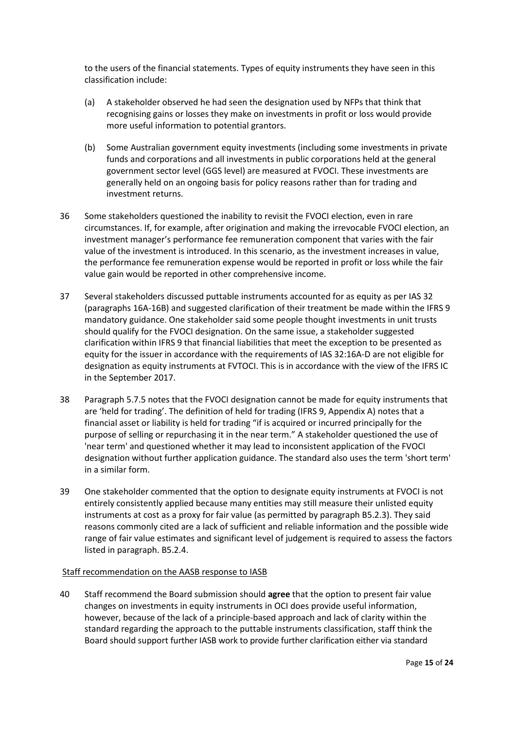to the users of the financial statements. Types of equity instruments they have seen in this classification include:

- (a) A stakeholder observed he had seen the designation used by NFPs that think that recognising gains or losses they make on investments in profit or loss would provide more useful information to potential grantors.
- (b) Some Australian government equity investments (including some investments in private funds and corporations and all investments in public corporations held at the general government sector level (GGS level) are measured at FVOCI. These investments are generally held on an ongoing basis for policy reasons rather than for trading and investment returns.
- 36 Some stakeholders questioned the inability to revisit the FVOCI election, even in rare circumstances. If, for example, after origination and making the irrevocable FVOCI election, an investment manager's performance fee remuneration component that varies with the fair value of the investment is introduced. In this scenario, as the investment increases in value, the performance fee remuneration expense would be reported in profit or loss while the fair value gain would be reported in other comprehensive income.
- 37 Several stakeholders discussed puttable instruments accounted for as equity as per IAS 32 (paragraphs 16A-16B) and suggested clarification of their treatment be made within the IFRS 9 mandatory guidance. One stakeholder said some people thought investments in unit trusts should qualify for the FVOCI designation. On the same issue, a stakeholder suggested clarification within IFRS 9 that financial liabilities that meet the exception to be presented as equity for the issuer in accordance with the requirements of IAS 32:16A-D are not eligible for designation as equity instruments at FVTOCI. This is in accordance with the view of the IFRS IC in the September 2017.
- 38 Paragraph 5.7.5 notes that the FVOCI designation cannot be made for equity instruments that are 'held for trading'. The definition of held for trading (IFRS 9, Appendix A) notes that a financial asset or liability is held for trading "if is acquired or incurred principally for the purpose of selling or repurchasing it in the near term." A stakeholder questioned the use of 'near term' and questioned whether it may lead to inconsistent application of the FVOCI designation without further application guidance. The standard also uses the term 'short term' in a similar form.
- 39 One stakeholder commented that the option to designate equity instruments at FVOCI is not entirely consistently applied because many entities may still measure their unlisted equity instruments at cost as a proxy for fair value (as permitted by paragraph B5.2.3). They said reasons commonly cited are a lack of sufficient and reliable information and the possible wide range of fair value estimates and significant level of judgement is required to assess the factors listed in paragraph. B5.2.4.

## Staff recommendation on the AASB response to IASB

40 Staff recommend the Board submission should **agree** that the option to present fair value changes on investments in equity instruments in OCI does provide useful information, however, because of the lack of a principle-based approach and lack of clarity within the standard regarding the approach to the puttable instruments classification, staff think the Board should support further IASB work to provide further clarification either via standard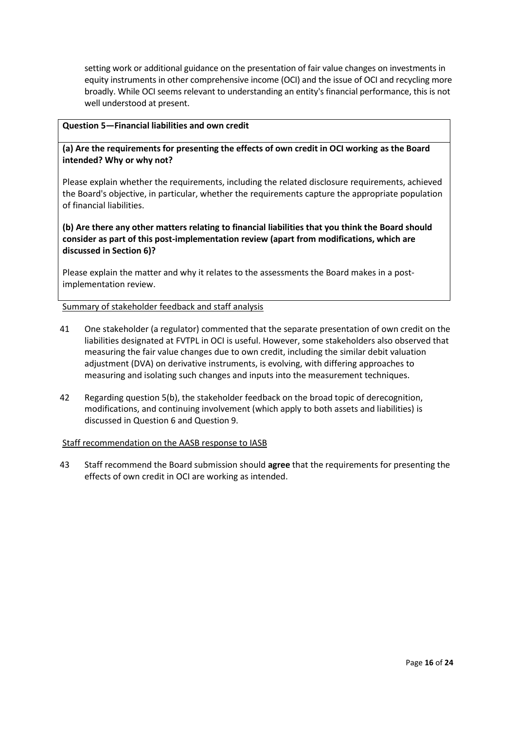setting work or additional guidance on the presentation of fair value changes on investments in equity instruments in other comprehensive income (OCI) and the issue of OCI and recycling more broadly. While OCI seems relevant to understanding an entity's financial performance, this is not well understood at present.

### **Question 5—Financial liabilities and own credit**

**(a) Are the requirements for presenting the effects of own credit in OCI working as the Board intended? Why or why not?** 

Please explain whether the requirements, including the related disclosure requirements, achieved the Board's objective, in particular, whether the requirements capture the appropriate population of financial liabilities.

**(b) Are there any other matters relating to financial liabilities that you think the Board should consider as part of this post-implementation review (apart from modifications, which are discussed in Section 6)?** 

Please explain the matter and why it relates to the assessments the Board makes in a postimplementation review.

## Summary of stakeholder feedback and staff analysis

- 41 One stakeholder (a regulator) commented that the separate presentation of own credit on the liabilities designated at FVTPL in OCI is useful. However, some stakeholders also observed that measuring the fair value changes due to own credit, including the similar debit valuation adjustment (DVA) on derivative instruments, is evolving, with differing approaches to measuring and isolating such changes and inputs into the measurement techniques.
- 42 Regarding question 5(b), the stakeholder feedback on the broad topic of derecognition, modifications, and continuing involvement (which apply to both assets and liabilities) is discussed in Question 6 and Question 9.

## Staff recommendation on the AASB response to IASB

43 Staff recommend the Board submission should **agree** that the requirements for presenting the effects of own credit in OCI are working as intended.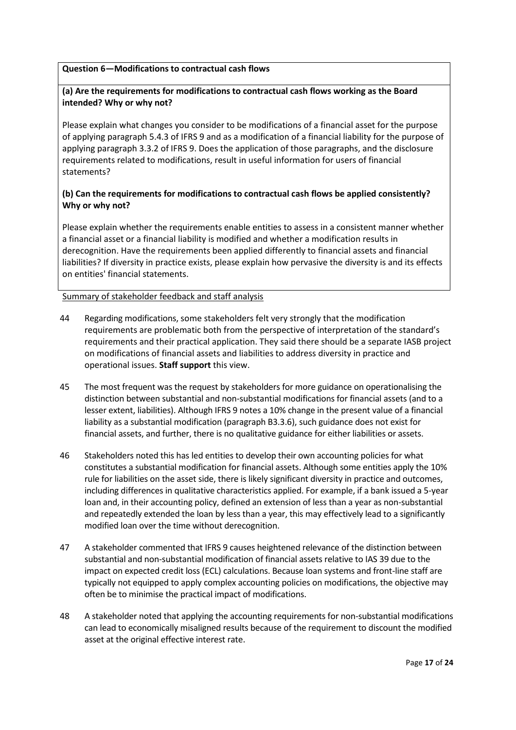## **Question 6—Modifications to contractual cash flows**

## **(a) Are the requirements for modifications to contractual cash flows working as the Board intended? Why or why not?**

Please explain what changes you consider to be modifications of a financial asset for the purpose of applying paragraph 5.4.3 of IFRS 9 and as a modification of a financial liability for the purpose of applying paragraph 3.3.2 of IFRS 9. Does the application of those paragraphs, and the disclosure requirements related to modifications, result in useful information for users of financial statements?

# **(b) Can the requirements for modifications to contractual cash flows be applied consistently? Why or why not?**

Please explain whether the requirements enable entities to assess in a consistent manner whether a financial asset or a financial liability is modified and whether a modification results in derecognition. Have the requirements been applied differently to financial assets and financial liabilities? If diversity in practice exists, please explain how pervasive the diversity is and its effects on entities' financial statements.

- 44 Regarding modifications, some stakeholders felt very strongly that the modification requirements are problematic both from the perspective of interpretation of the standard's requirements and their practical application. They said there should be a separate IASB project on modifications of financial assets and liabilities to address diversity in practice and operational issues. **Staff support** this view.
- 45 The most frequent was the request by stakeholders for more guidance on operationalising the distinction between substantial and non-substantial modifications for financial assets (and to a lesser extent, liabilities). Although IFRS 9 notes a 10% change in the present value of a financial liability as a substantial modification (paragraph B3.3.6), such guidance does not exist for financial assets, and further, there is no qualitative guidance for either liabilities or assets.
- 46 Stakeholders noted this has led entities to develop their own accounting policies for what constitutes a substantial modification for financial assets. Although some entities apply the 10% rule for liabilities on the asset side, there is likely significant diversity in practice and outcomes, including differences in qualitative characteristics applied. For example, if a bank issued a 5-year loan and, in their accounting policy, defined an extension of less than a year as non-substantial and repeatedly extended the loan by less than a year, this may effectively lead to a significantly modified loan over the time without derecognition.
- 47 A stakeholder commented that IFRS 9 causes heightened relevance of the distinction between substantial and non-substantial modification of financial assets relative to IAS 39 due to the impact on expected credit loss (ECL) calculations. Because loan systems and front-line staff are typically not equipped to apply complex accounting policies on modifications, the objective may often be to minimise the practical impact of modifications.
- 48 A stakeholder noted that applying the accounting requirements for non-substantial modifications can lead to economically misaligned results because of the requirement to discount the modified asset at the original effective interest rate.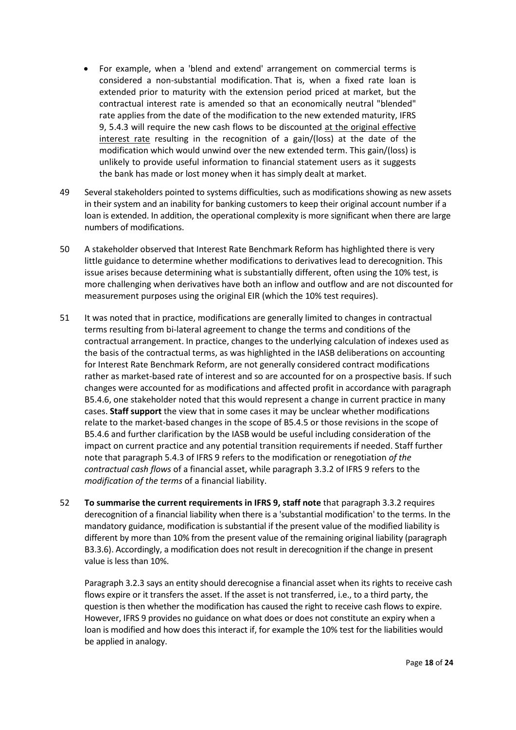- For example, when a 'blend and extend' arrangement on commercial terms is considered a non-substantial modification. That is, when a fixed rate loan is extended prior to maturity with the extension period priced at market, but the contractual interest rate is amended so that an economically neutral "blended" rate applies from the date of the modification to the new extended maturity, IFRS 9, 5.4.3 will require the new cash flows to be discounted at the original effective interest rate resulting in the recognition of a gain/(loss) at the date of the modification which would unwind over the new extended term. This gain/(loss) is unlikely to provide useful information to financial statement users as it suggests the bank has made or lost money when it has simply dealt at market.
- 49 Several stakeholders pointed to systems difficulties, such as modifications showing as new assets in their system and an inability for banking customers to keep their original account number if a loan is extended. In addition, the operational complexity is more significant when there are large numbers of modifications.
- 50 A stakeholder observed that Interest Rate Benchmark Reform has highlighted there is very little guidance to determine whether modifications to derivatives lead to derecognition. This issue arises because determining what is substantially different, often using the 10% test, is more challenging when derivatives have both an inflow and outflow and are not discounted for measurement purposes using the original EIR (which the 10% test requires).
- 51 It was noted that in practice, modifications are generally limited to changes in contractual terms resulting from bi-lateral agreement to change the terms and conditions of the contractual arrangement. In practice, changes to the underlying calculation of indexes used as the basis of the contractual terms, as was highlighted in the IASB deliberations on accounting for Interest Rate Benchmark Reform, are not generally considered contract modifications rather as market-based rate of interest and so are accounted for on a prospective basis. If such changes were accounted for as modifications and affected profit in accordance with paragraph B5.4.6, one stakeholder noted that this would represent a change in current practice in many cases. **Staff support** the view that in some cases it may be unclear whether modifications relate to the market-based changes in the scope of B5.4.5 or those revisions in the scope of B5.4.6 and further clarification by the IASB would be useful including consideration of the impact on current practice and any potential transition requirements if needed. Staff further note that paragraph 5.4.3 of IFRS 9 refers to the modification or renegotiation *of the contractual cash flows* of a financial asset, while paragraph 3.3.2 of IFRS 9 refers to the *modification of the terms* of a financial liability.
- 52 **To summarise the current requirements in IFRS 9, staff note** that paragraph 3.3.2 requires derecognition of a financial liability when there is a 'substantial modification' to the terms. In the mandatory guidance, modification is substantial if the present value of the modified liability is different by more than 10% from the present value of the remaining original liability (paragraph B3.3.6). Accordingly, a modification does not result in derecognition if the change in present value is less than 10%.

Paragraph 3.2.3 says an entity should derecognise a financial asset when its rights to receive cash flows expire or it transfers the asset. If the asset is not transferred, i.e., to a third party, the question is then whether the modification has caused the right to receive cash flows to expire. However, IFRS 9 provides no guidance on what does or does not constitute an expiry when a loan is modified and how does this interact if, for example the 10% test for the liabilities would be applied in analogy.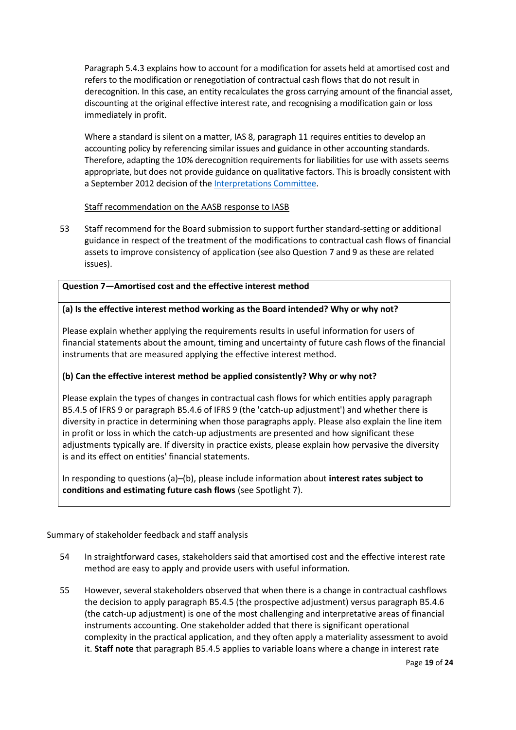Paragraph 5.4.3 explains how to account for a modification for assets held at amortised cost and refers to the modification or renegotiation of contractual cash flows that do not result in derecognition. In this case, an entity recalculates the gross carrying amount of the financial asset, discounting at the original effective interest rate, and recognising a modification gain or loss immediately in profit.

Where a standard is silent on a matter, IAS 8, paragraph 11 requires entities to develop an accounting policy by referencing similar issues and guidance in other accounting standards. Therefore, adapting the 10% derecognition requirements for liabilities for use with assets seems appropriate, but does not provide guidance on qualitative factors. This is broadly consistent with a September 2012 decision of the [Interpretations Committee.](https://www.ifrs.org/content/dam/ifrs/supporting-implementation/agenda-decisions/2012/ias-39-derecognition-of-financial-instruments-upon-modification-sep-12.pdf)

# Staff recommendation on the AASB response to IASB

53 Staff recommend for the Board submission to support further standard-setting or additional guidance in respect of the treatment of the modifications to contractual cash flows of financial assets to improve consistency of application (see also Question 7 and 9 as these are related issues).

## **Question 7—Amortised cost and the effective interest method**

## **(a) Is the effective interest method working as the Board intended? Why or why not?**

Please explain whether applying the requirements results in useful information for users of financial statements about the amount, timing and uncertainty of future cash flows of the financial instruments that are measured applying the effective interest method.

# **(b) Can the effective interest method be applied consistently? Why or why not?**

Please explain the types of changes in contractual cash flows for which entities apply paragraph B5.4.5 of IFRS 9 or paragraph B5.4.6 of IFRS 9 (the 'catch-up adjustment') and whether there is diversity in practice in determining when those paragraphs apply. Please also explain the line item in profit or loss in which the catch-up adjustments are presented and how significant these adjustments typically are. If diversity in practice exists, please explain how pervasive the diversity is and its effect on entities' financial statements.

In responding to questions (a)–(b), please include information about **interest rates subject to conditions and estimating future cash flows** (see Spotlight 7).

- 54 In straightforward cases, stakeholders said that amortised cost and the effective interest rate method are easy to apply and provide users with useful information.
- 55 However, several stakeholders observed that when there is a change in contractual cashflows the decision to apply paragraph B5.4.5 (the prospective adjustment) versus paragraph B5.4.6 (the catch-up adjustment) is one of the most challenging and interpretative areas of financial instruments accounting. One stakeholder added that there is significant operational complexity in the practical application, and they often apply a materiality assessment to avoid it. **Staff note** that paragraph B5.4.5 applies to variable loans where a change in interest rate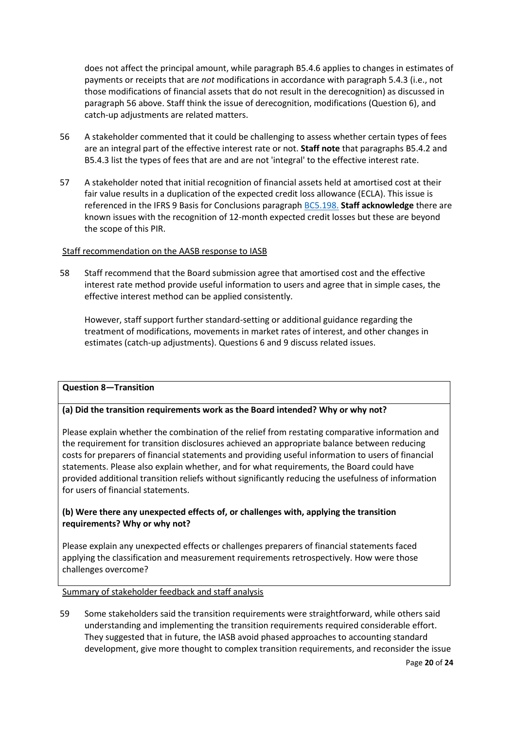does not affect the principal amount, while paragraph B5.4.6 applies to changes in estimates of payments or receipts that are *not* modifications in accordance with paragraph 5.4.3 (i.e., not those modifications of financial assets that do not result in the derecognition) as discussed in paragraph 56 above. Staff think the issue of derecognition, modifications (Question 6), and catch-up adjustments are related matters.

- 56 A stakeholder commented that it could be challenging to assess whether certain types of fees are an integral part of the effective interest rate or not. **Staff note** that paragraphs B5.4.2 and B5.4.3 list the types of fees that are and are not 'integral' to the effective interest rate.
- 57 A stakeholder noted that initial recognition of financial assets held at amortised cost at their fair value results in a duplication of the expected credit loss allowance (ECLA). This issue is referenced in the IFRS 9 Basis for Conclusions paragraph [BC5.198.](https://www.aasb.gov.au/admin/file/content105/c9/IFRS9_BC_7-14.pdf) **Staff acknowledge** there are known issues with the recognition of 12-month expected credit losses but these are beyond the scope of this PIR.

## Staff recommendation on the AASB response to IASB

58 Staff recommend that the Board submission agree that amortised cost and the effective interest rate method provide useful information to users and agree that in simple cases, the effective interest method can be applied consistently.

However, staff support further standard-setting or additional guidance regarding the treatment of modifications, movements in market rates of interest, and other changes in estimates (catch-up adjustments). Questions 6 and 9 discuss related issues.

## **Question 8—Transition**

# **(a) Did the transition requirements work as the Board intended? Why or why not?**

Please explain whether the combination of the relief from restating comparative information and the requirement for transition disclosures achieved an appropriate balance between reducing costs for preparers of financial statements and providing useful information to users of financial statements. Please also explain whether, and for what requirements, the Board could have provided additional transition reliefs without significantly reducing the usefulness of information for users of financial statements.

# **(b) Were there any unexpected effects of, or challenges with, applying the transition requirements? Why or why not?**

Please explain any unexpected effects or challenges preparers of financial statements faced applying the classification and measurement requirements retrospectively. How were those challenges overcome?

## Summary of stakeholder feedback and staff analysis

59 Some stakeholders said the transition requirements were straightforward, while others said understanding and implementing the transition requirements required considerable effort. They suggested that in future, the IASB avoid phased approaches to accounting standard development, give more thought to complex transition requirements, and reconsider the issue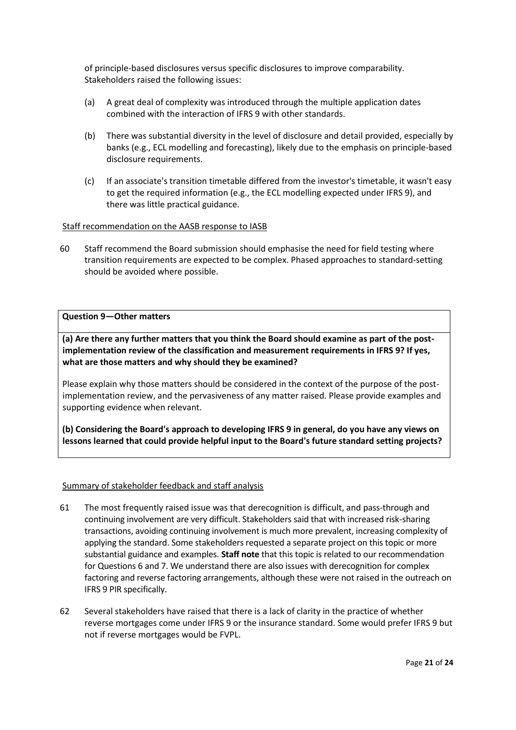of principle-based disclosures versus specific disclosures to improve comparability. Stakeholders raised the following issues:

- (a) A great deal of complexity was introduced through the multiple application dates combined with the interaction of IFRS 9 with other standards.
- (b) There was substantial diversity in the level of disclosure and detail provided, especially by banks (e.g., ECL modelling and forecasting), likely due to the emphasis on principle-based disclosure requirements.
- (c) If an associate's transition timetable differed from the investor's timetable, it wasn't easy to get the required information (e.g., the ECL modelling expected under IFRS 9), and there was little practical guidance.

## Staff recommendation on the AASB response to IASB

60 Staff recommend the Board submission should emphasise the need for field testing where transition requirements are expected to be complex. Phased approaches to standard-setting should be avoided where possible.

### **Question 9—Other matters**

**(a) Are there any further matters that you think the Board should examine as part of the postimplementation review of the classification and measurement requirements in IFRS 9? If yes, what are those matters and why should they be examined?** 

Please explain why those matters should be considered in the context of the purpose of the postimplementation review, and the pervasiveness of any matter raised. Please provide examples and supporting evidence when relevant.

**(b) Considering the Board's approach to developing IFRS 9 in general, do you have any views on lessons learned that could provide helpful input to the Board's future standard setting projects?**

- 61 The most frequently raised issue was that derecognition is difficult, and pass-through and continuing involvement are very difficult. Stakeholders said that with increased risk-sharing transactions, avoiding continuing involvement is much more prevalent, increasing complexity of applying the standard. Some stakeholders requested a separate project on this topic or more substantial guidance and examples. **Staff note** that this topic is related to our recommendation for Questions 6 and 7. We understand there are also issues with derecognition for complex factoring and reverse factoring arrangements, although these were not raised in the outreach on IFRS 9 PIR specifically.
- 62 Several stakeholders have raised that there is a lack of clarity in the practice of whether reverse mortgages come under IFRS 9 or the insurance standard. Some would prefer IFRS 9 but not if reverse mortgages would be FVPL.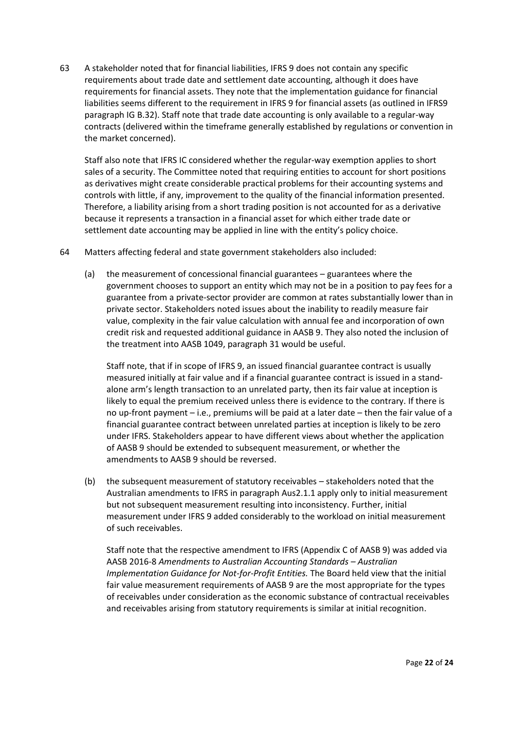63 A stakeholder noted that for financial liabilities, IFRS 9 does not contain any specific requirements about trade date and settlement date accounting, although it does have requirements for financial assets. They note that the implementation guidance for financial liabilities seems different to the requirement in IFRS 9 for financial assets (as outlined in IFRS9 paragraph IG B.32). Staff note that trade date accounting is only available to a regular-way contracts (delivered within the timeframe generally established by regulations or convention in the market concerned).

Staff also note that IFRS IC considered whether the regular-way exemption applies to short sales of a security. The Committee noted that requiring entities to account for short positions as derivatives might create considerable practical problems for their accounting systems and controls with little, if any, improvement to the quality of the financial information presented. Therefore, a liability arising from a short trading position is not accounted for as a derivative because it represents a transaction in a financial asset for which either trade date or settlement date accounting may be applied in line with the entity's policy choice.

- 64 Matters affecting federal and state government stakeholders also included:
	- (a) the measurement of concessional financial guarantees guarantees where the government chooses to support an entity which may not be in a position to pay fees for a guarantee from a private-sector provider are common at rates substantially lower than in private sector. Stakeholders noted issues about the inability to readily measure fair value, complexity in the fair value calculation with annual fee and incorporation of own credit risk and requested additional guidance in AASB 9. They also noted the inclusion of the treatment into AASB 1049, paragraph 31 would be useful.

Staff note, that if in scope of IFRS 9, an issued financial guarantee contract is usually measured initially at fair value and if a financial guarantee contract is issued in a standalone arm's length transaction to an unrelated party, then its fair value at inception is likely to equal the premium received unless there is evidence to the contrary. If there is no up-front payment – i.e., premiums will be paid at a later date – then the fair value of a financial guarantee contract between unrelated parties at inception is likely to be zero under IFRS. Stakeholders appear to have different views about whether the application of AASB 9 should be extended to subsequent measurement, or whether the amendments to AASB 9 should be reversed.

(b) the subsequent measurement of statutory receivables – stakeholders noted that the Australian amendments to IFRS in paragraph Aus2.1.1 apply only to initial measurement but not subsequent measurement resulting into inconsistency. Further, initial measurement under IFRS 9 added considerably to the workload on initial measurement of such receivables.

Staff note that the respective amendment to IFRS (Appendix C of AASB 9) was added via AASB 2016-8 *Amendments to Australian Accounting Standards – Australian Implementation Guidance for Not-for-Profit Entities.* The Board held view that the initial fair value measurement requirements of AASB 9 are the most appropriate for the types of receivables under consideration as the economic substance of contractual receivables and receivables arising from statutory requirements is similar at initial recognition.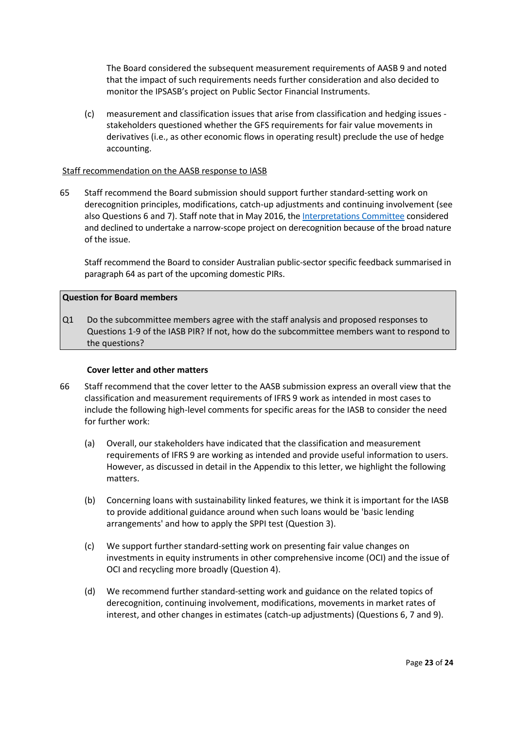The Board considered the subsequent measurement requirements of AASB 9 and noted that the impact of such requirements needs further consideration and also decided to monitor the IPSASB's project on Public Sector Financial Instruments.

(c) measurement and classification issues that arise from classification and hedging issues stakeholders questioned whether the GFS requirements for fair value movements in derivatives (i.e., as other economic flows in operating result) preclude the use of hedge accounting.

## Staff recommendation on the AASB response to IASB

65 Staff recommend the Board submission should support further standard-setting work on derecognition principles, modifications, catch-up adjustments and continuing involvement (see also Questions 6 and 7). Staff note that in May 2016, the [Interpretations Committee](https://www.ifrs.org/content/dam/ifrs/supporting-implementation/agenda-decisions/2016/ias-39-ifrs-9-derecognition-of-modified-financial-assets-may-2016.pdf) considered and declined to undertake a narrow-scope project on derecognition because of the broad nature of the issue.

Staff recommend the Board to consider Australian public-sector specific feedback summarised in paragraph 64 as part of the upcoming domestic PIRs.

## **Question for Board members**

Q1 Do the subcommittee members agree with the staff analysis and proposed responses to Questions 1-9 of the IASB PIR? If not, how do the subcommittee members want to respond to the questions?

#### **Cover letter and other matters**

- 66 Staff recommend that the cover letter to the AASB submission express an overall view that the classification and measurement requirements of IFRS 9 work as intended in most cases to include the following high-level comments for specific areas for the IASB to consider the need for further work:
	- (a) Overall, our stakeholders have indicated that the classification and measurement requirements of IFRS 9 are working as intended and provide useful information to users. However, as discussed in detail in the Appendix to this letter, we highlight the following matters.
	- (b) Concerning loans with sustainability linked features, we think it is important for the IASB to provide additional guidance around when such loans would be 'basic lending arrangements' and how to apply the SPPI test (Question 3).
	- (c) We support further standard-setting work on presenting fair value changes on investments in equity instruments in other comprehensive income (OCI) and the issue of OCI and recycling more broadly (Question 4).
	- (d) We recommend further standard-setting work and guidance on the related topics of derecognition, continuing involvement, modifications, movements in market rates of interest, and other changes in estimates (catch-up adjustments) (Questions 6, 7 and 9).